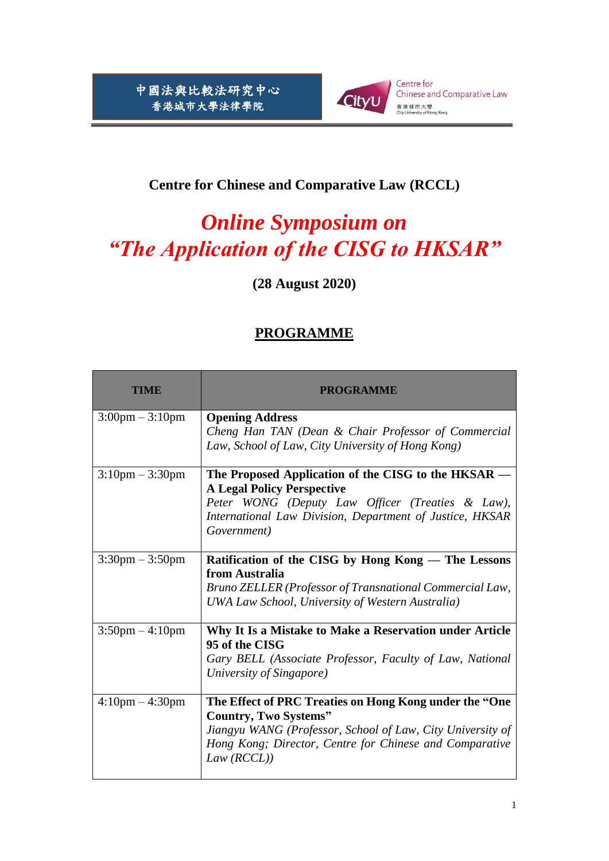

## **Centre for Chinese and Comparative Law (RCCL)**

## *Online Symposium on "The Application of the CISG to HKSAR"*

**(28 August 2020)**

## **PROGRAMME**

| <b>TIME</b>                       | <b>PROGRAMME</b>                                                                                             |
|-----------------------------------|--------------------------------------------------------------------------------------------------------------|
| $3:00 \text{pm} - 3:10 \text{pm}$ | <b>Opening Address</b><br>Cheng Han TAN (Dean & Chair Professor of Commercial                                |
|                                   | Law, School of Law, City University of Hong Kong)                                                            |
| $3:10 \text{pm} - 3:30 \text{pm}$ | The Proposed Application of the CISG to the HKSAR -<br><b>A Legal Policy Perspective</b>                     |
|                                   | Peter WONG (Deputy Law Officer (Treaties & Law),                                                             |
|                                   | International Law Division, Department of Justice, HKSAR                                                     |
|                                   | Government)                                                                                                  |
| $3:30$ pm $-3:50$ pm              | Ratification of the CISG by Hong Kong — The Lessons                                                          |
|                                   | from Australia                                                                                               |
|                                   | Bruno ZELLER (Professor of Transnational Commercial Law,<br>UWA Law School, University of Western Australia) |
| $3:50 \text{pm} - 4:10 \text{pm}$ | Why It Is a Mistake to Make a Reservation under Article<br>95 of the CISG                                    |
|                                   | Gary BELL (Associate Professor, Faculty of Law, National                                                     |
|                                   | University of Singapore)                                                                                     |
| $4:10 \text{pm} - 4:30 \text{pm}$ | The Effect of PRC Treaties on Hong Kong under the "One                                                       |
|                                   | <b>Country, Two Systems"</b>                                                                                 |
|                                   | Jiangyu WANG (Professor, School of Law, City University of                                                   |
|                                   | Hong Kong; Director, Centre for Chinese and Comparative<br>Law (RCL)                                         |